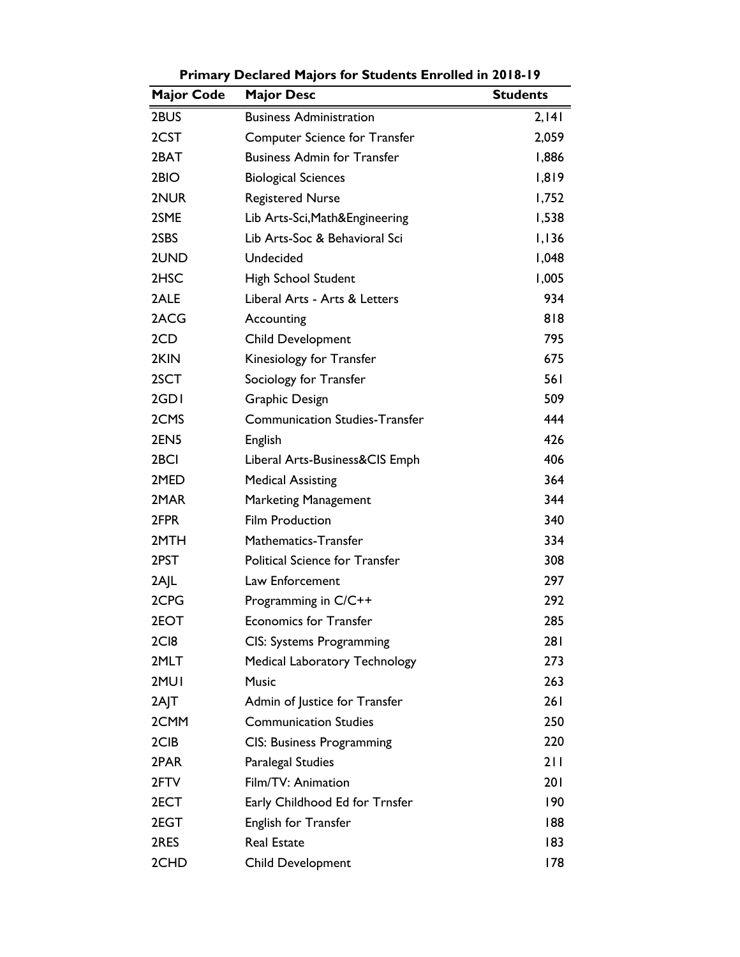| <b>Major Code</b> | <b>Major Desc</b>                     | <b>Students</b> |
|-------------------|---------------------------------------|-----------------|
| 2BUS              | <b>Business Administration</b>        | 2,141           |
| 2CST              | Computer Science for Transfer         | 2,059           |
| 2BAT              | <b>Business Admin for Transfer</b>    | 1,886           |
| 2BIO              | <b>Biological Sciences</b>            | 1,819           |
| 2NUR              | <b>Registered Nurse</b>               | 1,752           |
| 2SME              | Lib Arts-Sci, Math&Engineering        | 1,538           |
| 2SBS              | Lib Arts-Soc & Behavioral Sci         | 1,136           |
| 2UND              | Undecided                             | 1,048           |
| 2HSC              | High School Student                   | 1,005           |
| 2ALE              | Liberal Arts - Arts & Letters         | 934             |
| 2ACG              | Accounting                            | 818             |
| 2CD               | <b>Child Development</b>              | 795             |
| 2KIN              | Kinesiology for Transfer              | 675             |
| 2SCT              | Sociology for Transfer                | 561             |
| 2GDI              | Graphic Design                        | 509             |
| 2CMS              | <b>Communication Studies-Transfer</b> | 444             |
| 2EN <sub>5</sub>  | English                               | 426             |
| 2 <sub>BCI</sub>  | Liberal Arts-Business&CIS Emph        | 406             |
| 2MED              | <b>Medical Assisting</b>              | 364             |
| 2MAR              | <b>Marketing Management</b>           | 344             |
| 2FPR              | <b>Film Production</b>                | 340             |
| 2MTH              | Mathematics-Transfer                  | 334             |
| 2PST              | <b>Political Science for Transfer</b> | 308             |
| 2AJL              | Law Enforcement                       | 297             |
| 2CPG              | Programming in C/C++                  | 292             |
| 2EOT              | <b>Economics for Transfer</b>         | 285             |
| 2C <sub>I8</sub>  | CIS: Systems Programming              | 281             |
| 2MLT              | <b>Medical Laboratory Technology</b>  | 273             |
| 2MUI              | <b>Music</b>                          | 263             |
| 2AJT              | Admin of Justice for Transfer         | 261             |
| 2CMM              | <b>Communication Studies</b>          | 250             |
| 2CIB              | <b>CIS: Business Programming</b>      | 220             |
| 2PAR              | <b>Paralegal Studies</b>              | 211             |
| 2FTV              | Film/TV: Animation                    | 201             |
| 2ECT              | Early Childhood Ed for Trnsfer        | 190             |
| 2EGT              | English for Transfer                  | 188             |
| 2RES              | <b>Real Estate</b>                    | 183             |
| 2CHD              | Child Development                     | 178             |

**Primary Declared Majors for Students Enrolled in 2018-19**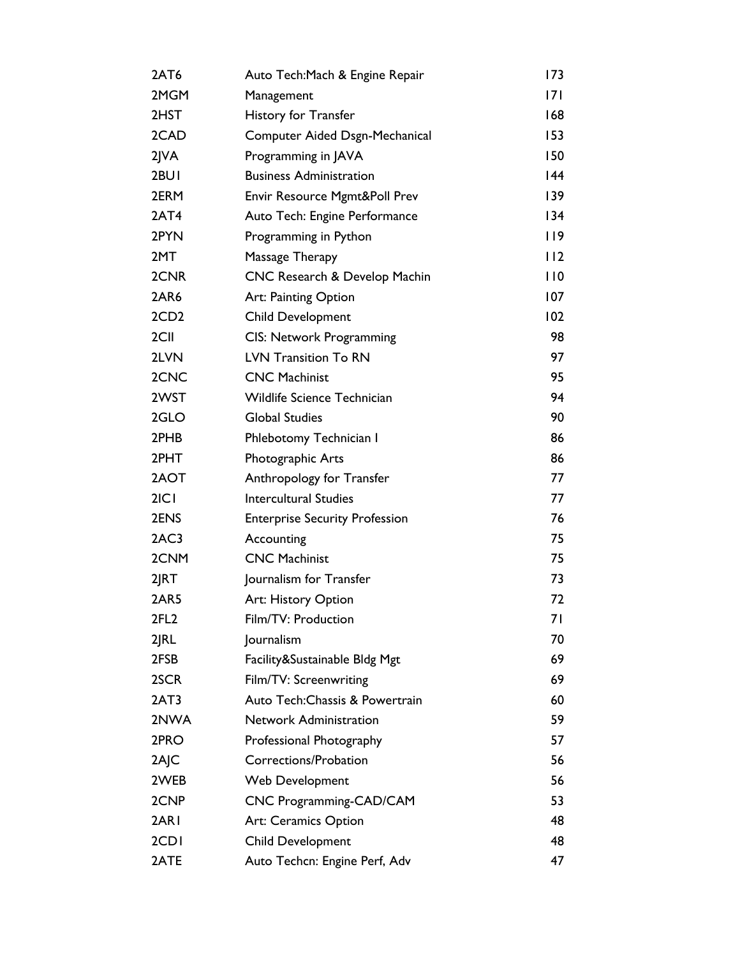| 2AT6             | Auto Tech: Mach & Engine Repair       | 173 |
|------------------|---------------------------------------|-----|
| 2MGM             | Management                            | 7   |
| 2HST             | <b>History for Transfer</b>           | 168 |
| 2CAD             | Computer Aided Dsgn-Mechanical        | 153 |
| $2$ $NA$         | Programming in JAVA                   | 150 |
| 2BUI             | <b>Business Administration</b>        | 144 |
| 2ERM             | Envir Resource Mgmt&Poll Prev         | 139 |
| 2AT4             | Auto Tech: Engine Performance         | 134 |
| 2PYN             | Programming in Python                 | 119 |
| 2MT              | Massage Therapy                       | 112 |
| 2CNR             | CNC Research & Develop Machin         | 110 |
| 2AR6             | Art: Painting Option                  | 107 |
| 2CD <sub>2</sub> | <b>Child Development</b>              | 102 |
| 2CII             | CIS: Network Programming              | 98  |
| 2LVN             | <b>LVN Transition To RN</b>           | 97  |
| 2CNC             | <b>CNC Machinist</b>                  | 95  |
| 2WST             | Wildlife Science Technician           | 94  |
| 2GLO             | <b>Global Studies</b>                 | 90  |
| 2PHB             | Phlebotomy Technician I               | 86  |
| 2PHT             | Photographic Arts                     | 86  |
| 2AOT             | Anthropology for Transfer             | 77  |
| 2 C              | <b>Intercultural Studies</b>          | 77  |
| 2ENS             | <b>Enterprise Security Profession</b> | 76  |
| 2AC3             | Accounting                            | 75  |
| 2CNM             | <b>CNC Machinist</b>                  | 75  |
| 2JRT             | Journalism for Transfer               | 73  |
| 2AR5             | Art: History Option                   | 72  |
| 2FL <sub>2</sub> | Film/TV: Production                   | 71  |
| 2 RL             | Journalism                            | 70  |
| 2FSB             | Facility&Sustainable Bldg Mgt         | 69  |
| 2SCR             | Film/TV: Screenwriting                | 69  |
| 2AT3             | Auto Tech: Chassis & Powertrain       | 60  |
| 2NWA             | Network Administration                | 59  |
| 2PRO             | Professional Photography              | 57  |
| 2AJC             | Corrections/Probation                 | 56  |
| 2WEB             | Web Development                       | 56  |
| 2CNP             | CNC Programming-CAD/CAM               | 53  |
| 2AR I            | Art: Ceramics Option                  | 48  |
| 2CD <sub>I</sub> | <b>Child Development</b>              | 48  |
| 2ATE             | Auto Techcn: Engine Perf, Adv         | 47  |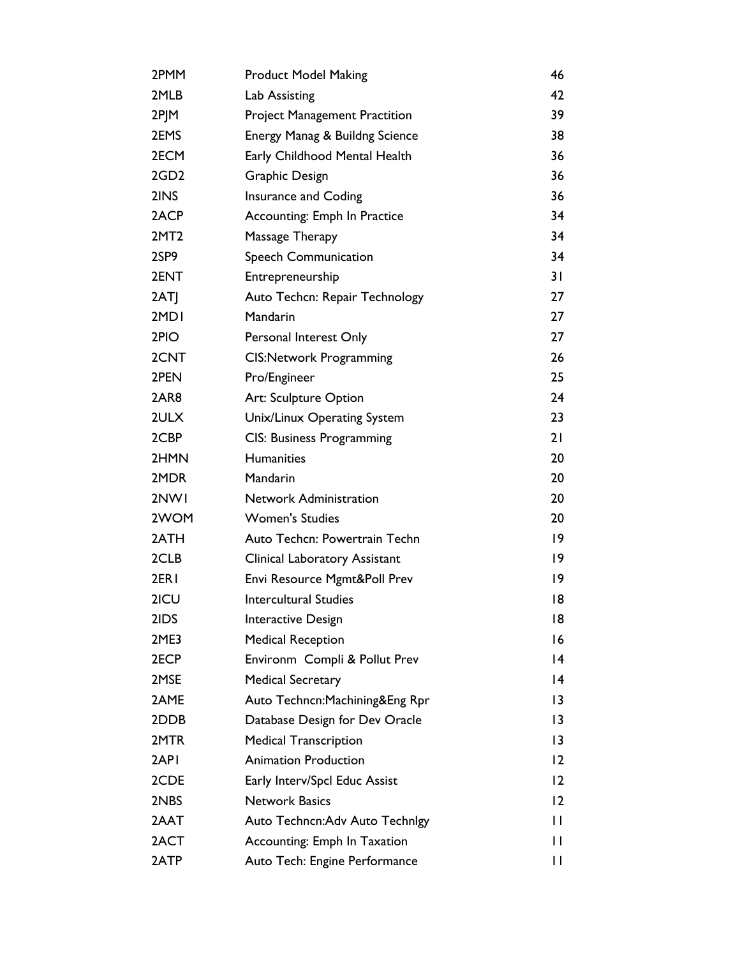| 2PMM             | <b>Product Model Making</b>          | 46                |
|------------------|--------------------------------------|-------------------|
| 2MLB             | Lab Assisting                        | 42                |
| 2PJM             | <b>Project Management Practition</b> | 39                |
| 2EMS             | Energy Manag & Buildng Science       | 38                |
| 2ECM             | Early Childhood Mental Health        | 36                |
| 2GD <sub>2</sub> | Graphic Design                       | 36                |
| 2INS             | Insurance and Coding                 | 36                |
| 2ACP             | Accounting: Emph In Practice         | 34                |
| 2MT <sub>2</sub> | Massage Therapy                      | 34                |
| 2SP9             | Speech Communication                 | 34                |
| 2ENT             | Entrepreneurship                     | 31                |
| 2ATJ             | Auto Techcn: Repair Technology       | 27                |
| 2MD <sub>I</sub> | Mandarin                             | 27                |
| 2PIO             | Personal Interest Only               | 27                |
| 2CNT             | <b>CIS:Network Programming</b>       | 26                |
| 2PEN             | Pro/Engineer                         | 25                |
| 2AR8             | Art: Sculpture Option                | 24                |
| 2ULX             | Unix/Linux Operating System          | 23                |
| 2CBP             | <b>CIS: Business Programming</b>     | 21                |
| 2HMN             | <b>Humanities</b>                    | 20                |
| 2MDR             | Mandarin                             | 20                |
| 2NW1             | Network Administration               | 20                |
| 2WOM             | <b>Women's Studies</b>               | 20                |
| 2ATH             | Auto Techcn: Powertrain Techn        | $ 9\rangle$       |
| 2CLB             | <b>Clinical Laboratory Assistant</b> | 9                 |
| 2ER <sub>I</sub> | Envi Resource Mgmt&Poll Prev         | 19                |
| 2ICU             | <b>Intercultural Studies</b>         | 18                |
| 2IDS             | Interactive Design                   | 18                |
| 2ME3             | <b>Medical Reception</b>             | 16                |
| 2ECP             | Environm Compli & Pollut Prev        | 14                |
| 2MSE             | <b>Medical Secretary</b>             | 14                |
| 2AME             | Auto Techncn: Machining&Eng Rpr      | 3                 |
| 2DDB             | Database Design for Dev Oracle       | 3                 |
| 2MTR             | <b>Medical Transcription</b>         | 3                 |
| 2API             | <b>Animation Production</b>          | $\overline{2}$    |
| 2CDE             | Early Interv/Spcl Educ Assist        | $\overline{2}$    |
| 2NBS             | <b>Network Basics</b>                | $12 \overline{ }$ |
| 2AAT             | Auto Techncn: Adv Auto Technigy      | П                 |
| 2ACT             | Accounting: Emph In Taxation         | П                 |
| 2ATP             | Auto Tech: Engine Performance        | П                 |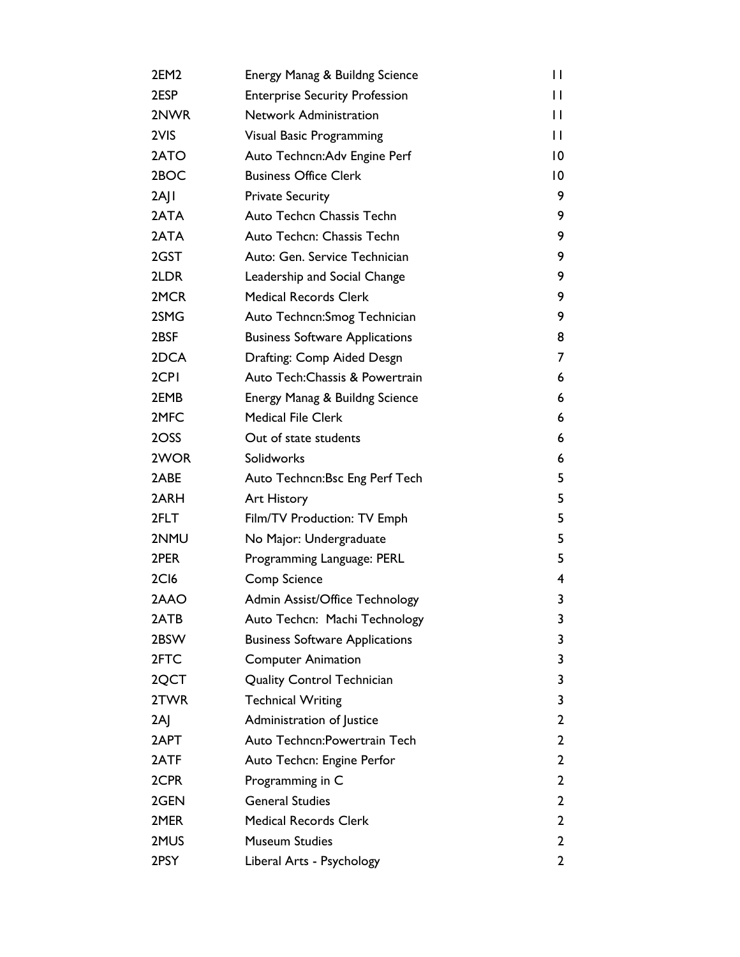| 2EM2             | Energy Manag & Buildng Science        | $\mathsf{I}$ |
|------------------|---------------------------------------|--------------|
| 2ESP             | <b>Enterprise Security Profession</b> | П            |
| 2NWR             | <b>Network Administration</b>         | П            |
| 2VIS             | Visual Basic Programming              | П            |
| 2ATO             | Auto Techncn: Adv Engine Perf         | 10           |
| 2BOC             | <b>Business Office Clerk</b>          | 10           |
| 2AJI             | <b>Private Security</b>               | 9            |
| 2ATA             | Auto Techcn Chassis Techn             | 9            |
| 2ATA             | Auto Techcn: Chassis Techn            | 9            |
| 2GST             | Auto: Gen. Service Technician         | 9            |
| 2LDR             | Leadership and Social Change          | 9            |
| 2MCR             | <b>Medical Records Clerk</b>          | 9            |
| 2SMG             | Auto Techncn: Smog Technician         | 9            |
| 2BSF             | <b>Business Software Applications</b> | 8            |
| 2DCA             | Drafting: Comp Aided Desgn            | 7            |
| 2CPI             | Auto Tech: Chassis & Powertrain       | 6            |
| 2EMB             | Energy Manag & Buildng Science        | 6            |
| 2MFC             | <b>Medical File Clerk</b>             | 6            |
| 2OSS             | Out of state students                 | 6            |
| 2WOR             | Solidworks                            | 6            |
| 2ABE             | Auto Techncn: Bsc Eng Perf Tech       | 5            |
| 2ARH             | <b>Art History</b>                    | 5            |
| 2FLT             | Film/TV Production: TV Emph           | 5            |
| 2NMU             | No Major: Undergraduate               | 5            |
| 2PER             | Programming Language: PERL            | 5            |
| 2C <sub>16</sub> | Comp Science                          | 4            |
| 2AAO             | Admin Assist/Office Technology        | 3            |
| 2ATB             | Auto Techcn: Machi Technology         | 3            |
| 2BSW             | <b>Business Software Applications</b> | 3            |
| 2FTC             | <b>Computer Animation</b>             | 3            |
| 2QCT             | <b>Quality Control Technician</b>     | 3            |
| 2TWR             | <b>Technical Writing</b>              | 3            |
| 2AJ              | Administration of Justice             | 2            |
| 2APT             | Auto Techncn: Powertrain Tech         | 2            |
| 2ATF             | Auto Techcn: Engine Perfor            | 2            |
| 2CPR             | Programming in C                      | 2            |
| 2GEN             | <b>General Studies</b>                | 2            |
| 2MER             | <b>Medical Records Clerk</b>          | 2            |
| 2MUS             | <b>Museum Studies</b>                 | 2            |
| 2PSY             | Liberal Arts - Psychology             | 2            |